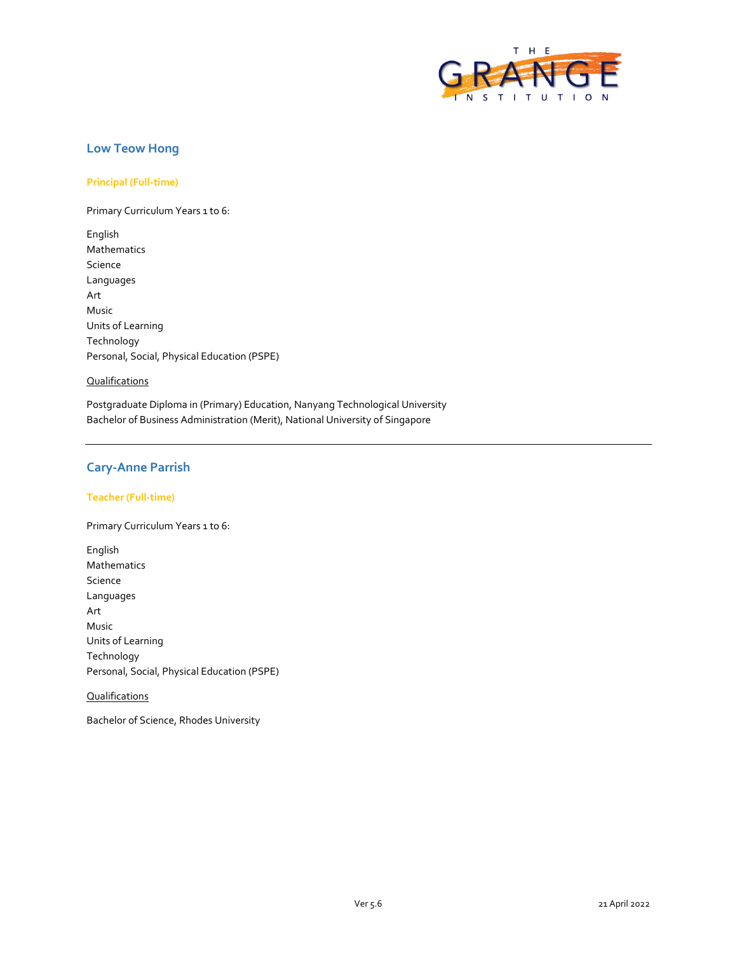

## **Low Teow Hong**

### **Principal (Full-time)**

Primary Curriculum Years 1 to 6:

English Mathematics Science Languages Art Music Units of Learning Technology Personal, Social, Physical Education (PSPE)

#### **Qualifications**

Postgraduate Diploma in (Primary) Education, Nanyang Technological University Bachelor of Business Administration (Merit), National University of Singapore

## **Cary-Anne Parrish**

#### **Teacher (Full-time)**

Primary Curriculum Years 1 to 6:

English Mathematics Science Languages Art Music Units of Learning Technology Personal, Social, Physical Education (PSPE)

## **Qualifications**

Bachelor of Science, Rhodes University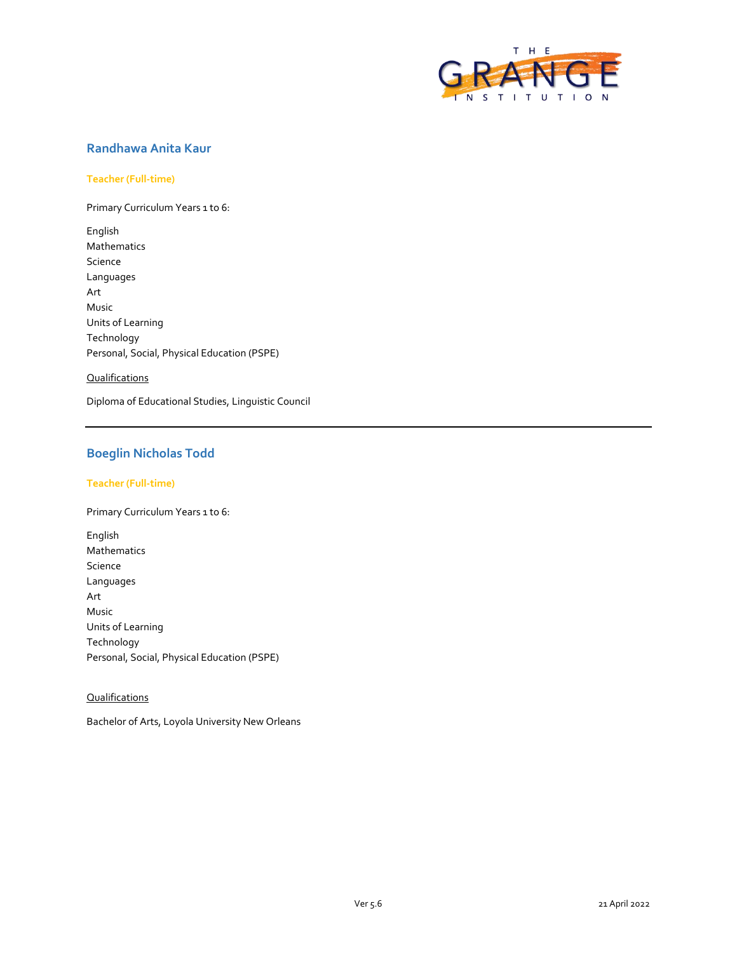

# **Randhawa Anita Kaur**

#### **Teacher (Full-time)**

Primary Curriculum Years 1 to 6:

English Mathematics Science Languages Art Music Units of Learning Technology Personal, Social, Physical Education (PSPE)

## **Qualifications**

Diploma of Educational Studies, Linguistic Council

# **Boeglin Nicholas Todd**

## **Teacher (Full-time)**

Primary Curriculum Years 1 to 6:

English Mathematics Science Languages Art Music Units of Learning Technology Personal, Social, Physical Education (PSPE)

## **Qualifications**

Bachelor of Arts, Loyola University New Orleans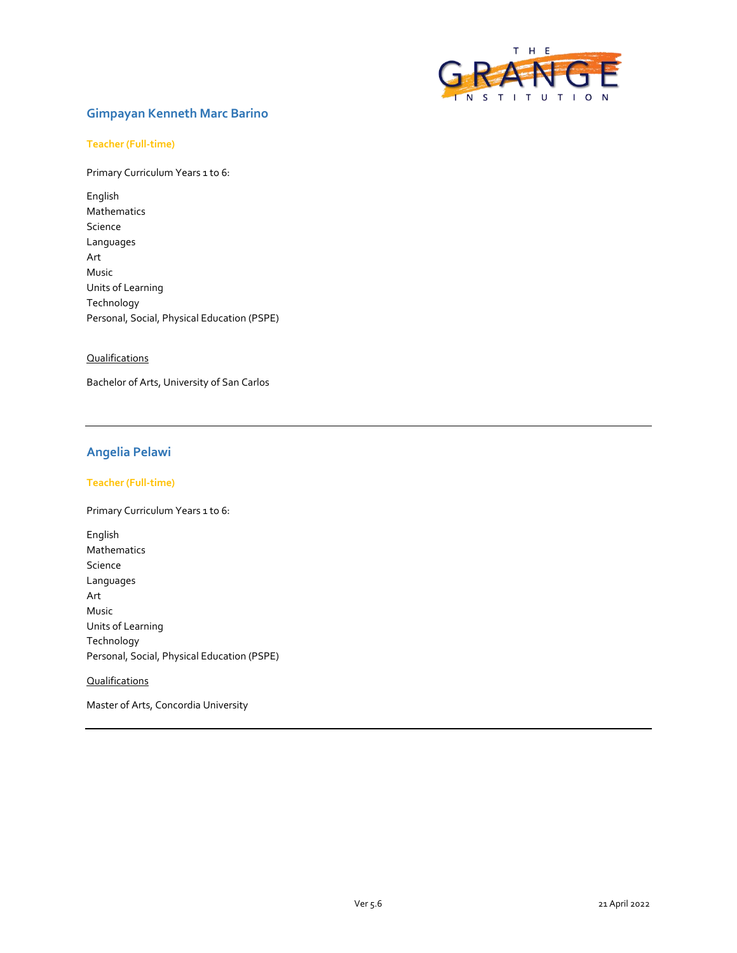

# **Gimpayan Kenneth Marc Barino**

#### **Teacher (Full-time)**

Primary Curriculum Years 1 to 6:

English Mathematics Science Languages Art Music Units of Learning Technology Personal, Social, Physical Education (PSPE)

#### **Qualifications**

Bachelor of Arts, University of San Carlos

# **Angelia Pelawi**

## **Teacher (Full-time)**

Primary Curriculum Years 1 to 6:

English Mathematics Science Languages Art Music Units of Learning Technology Personal, Social, Physical Education (PSPE)

## **Qualifications**

Master of Arts, Concordia University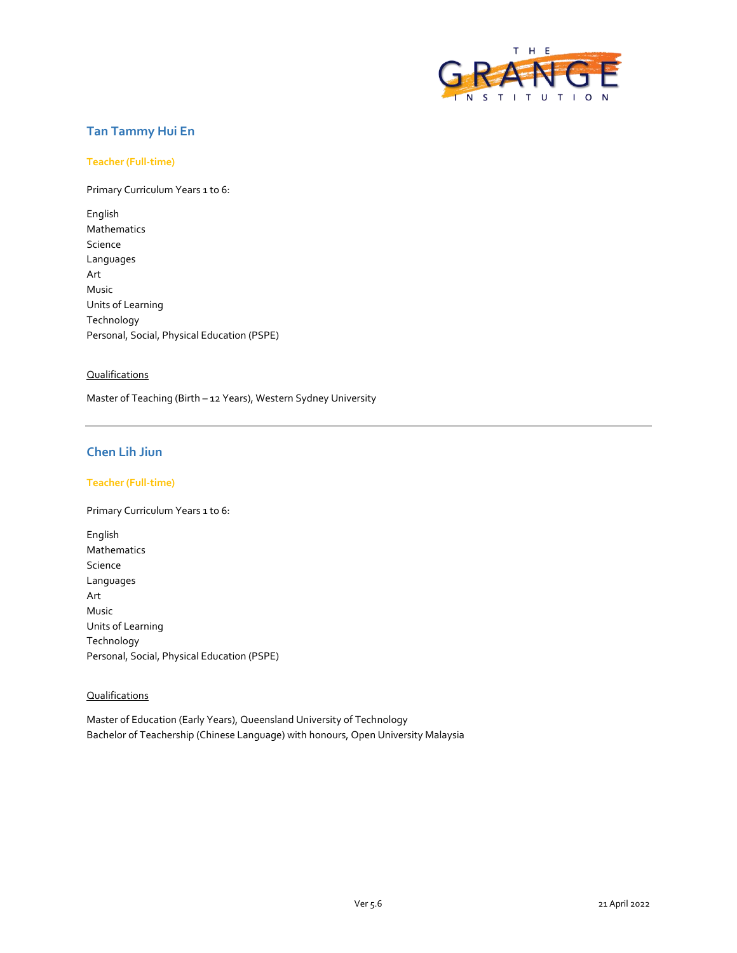

# **Tan Tammy Hui En**

#### **Teacher (Full-time)**

Primary Curriculum Years 1 to 6:

English Mathematics Science Languages Art Music Units of Learning Technology Personal, Social, Physical Education (PSPE)

#### **Qualifications**

Master of Teaching (Birth – 12 Years), Western Sydney University

# **Chen Lih Jiun**

## **Teacher (Full-time)**

Primary Curriculum Years 1 to 6:

English Mathematics Science Languages Art Music Units of Learning Technology Personal, Social, Physical Education (PSPE)

## **Qualifications**

Master of Education (Early Years), Queensland University of Technology Bachelor of Teachership (Chinese Language) with honours, Open University Malaysia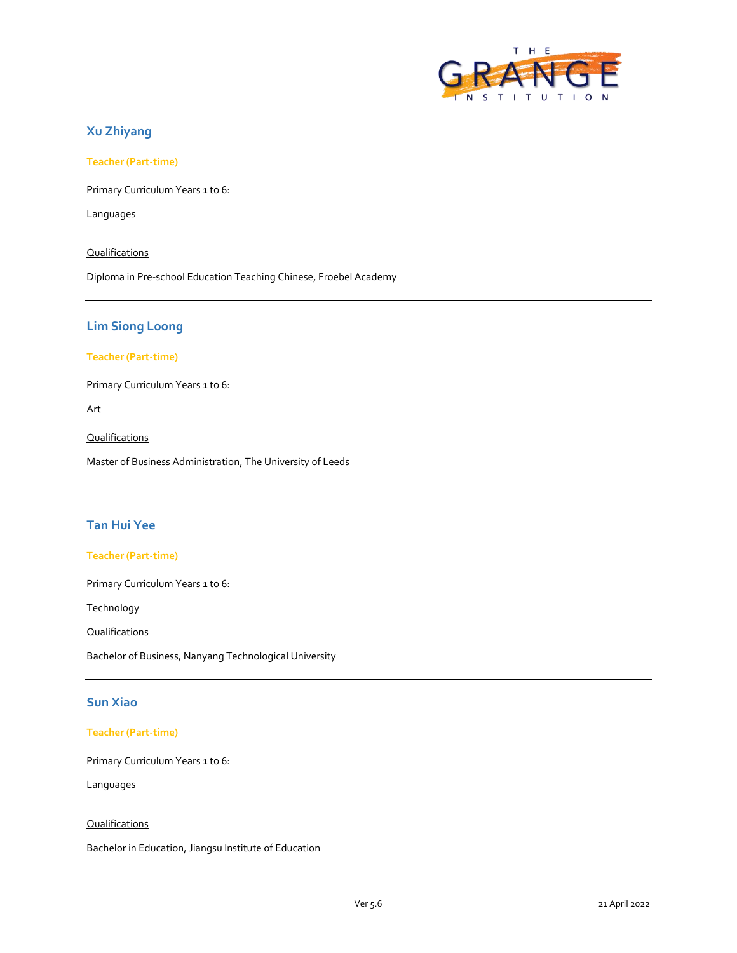

# **Xu Zhiyang**

**Teacher (Part-time)**

Primary Curriculum Years 1 to 6:

Languages

#### **Qualifications**

Diploma in Pre-school Education Teaching Chinese, Froebel Academy

## **Lim Siong Loong**

#### **Teacher (Part-time)**

Primary Curriculum Years 1 to 6:

Art

**Qualifications** 

Master of Business Administration, The University of Leeds

## **Tan Hui Yee**

#### **Teacher (Part-time)**

Primary Curriculum Years 1 to 6:

Technology

**Qualifications** 

Bachelor of Business, Nanyang Technological University

# **Sun Xiao**

#### **Teacher (Part-time)**

Primary Curriculum Years 1 to 6:

Languages

#### **Qualifications**

Bachelor in Education, Jiangsu Institute of Education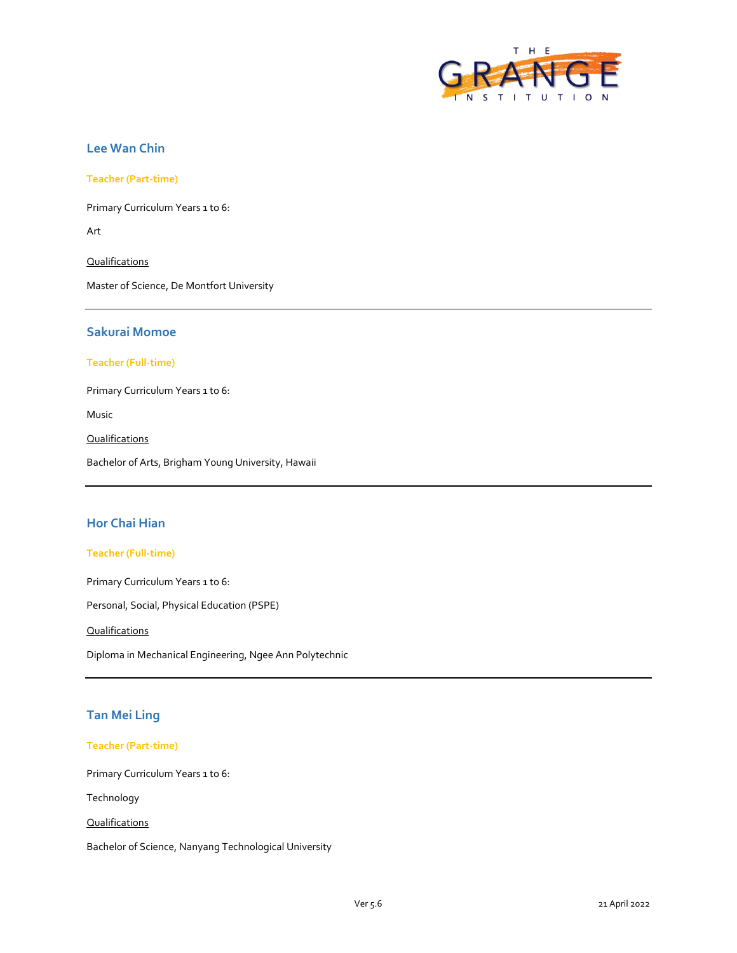

# **Lee Wan Chin**

**Teacher (Part-time)**

Primary Curriculum Years 1 to 6:

Art

**Qualifications** 

Master of Science, De Montfort University

# **Sakurai Momoe**

#### **Teacher (Full-time)**

Primary Curriculum Years 1 to 6:

Music

Qualifications

Bachelor of Arts, Brigham Young University, Hawaii

# **Hor Chai Hian**

#### **Teacher (Full-time)**

Primary Curriculum Years 1 to 6:

Personal, Social, Physical Education (PSPE)

**Qualifications** 

Diploma in Mechanical Engineering, Ngee Ann Polytechnic

# **Tan Mei Ling**

#### **Teacher (Part-time)**

Primary Curriculum Years 1 to 6:

Technology

**Qualifications** 

Bachelor of Science, Nanyang Technological University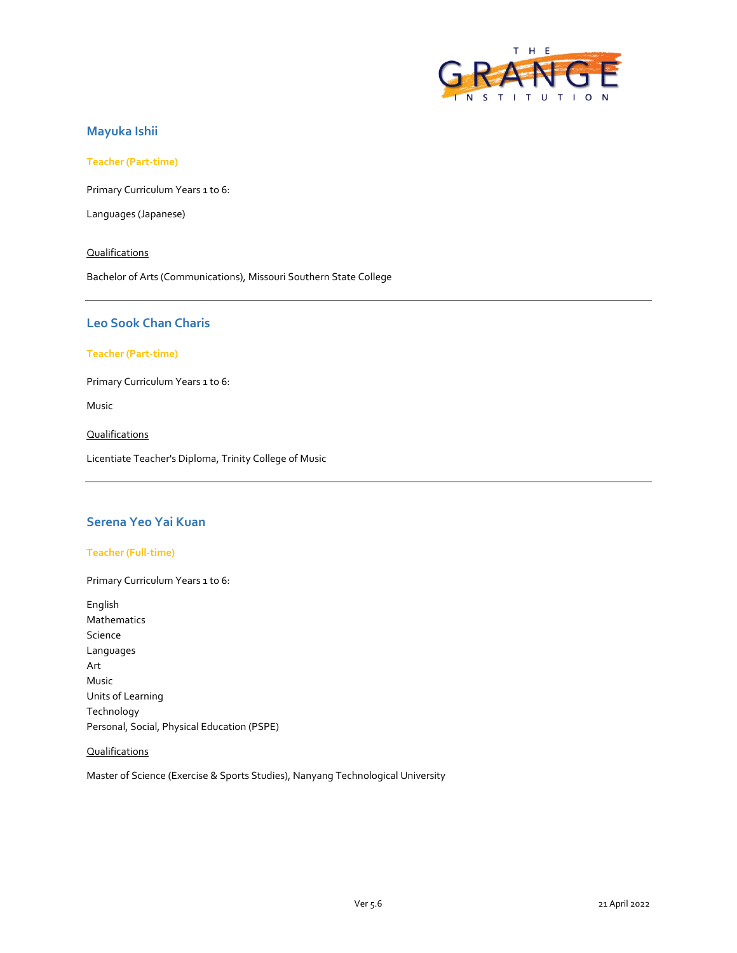

## **Mayuka Ishii**

#### **Teacher (Part-time)**

Primary Curriculum Years 1 to 6:

Languages (Japanese)

#### **Qualifications**

Bachelor of Arts (Communications), Missouri Southern State College

## **Leo Sook Chan Charis**

#### **Teacher (Part-time)**

Primary Curriculum Years 1 to 6:

Music

**Qualifications** 

Licentiate Teacher's Diploma, Trinity College of Music

### **Serena Yeo Yai Kuan**

### **Teacher (Full-time)**

Primary Curriculum Years 1 to 6: English Mathematics Science Languages Art Music Units of Learning Technology

# Personal, Social, Physical Education (PSPE)

#### **Qualifications**

Master of Science (Exercise & Sports Studies), Nanyang Technological University